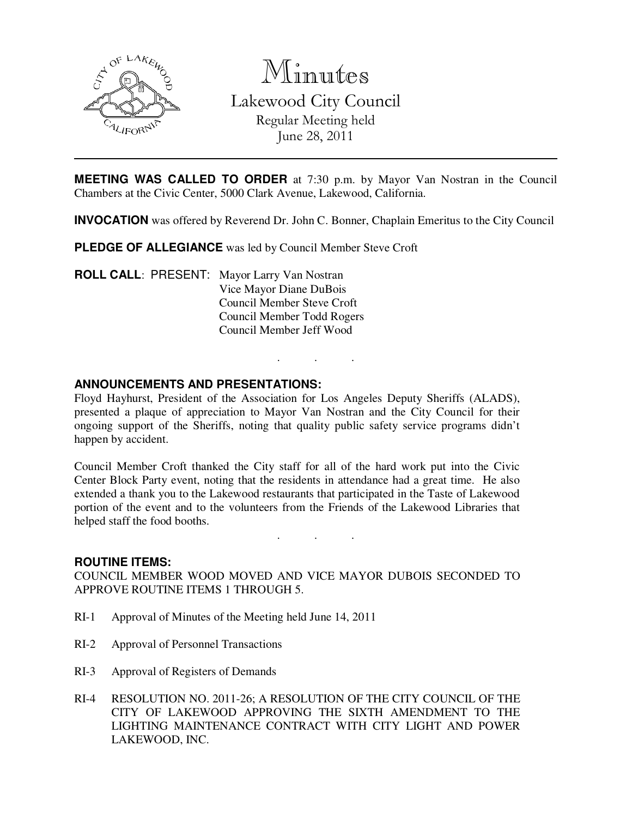

Minutes Lakewood City Council Regular Meeting held June 28, 2011

**MEETING WAS CALLED TO ORDER** at 7:30 p.m. by Mayor Van Nostran in the Council Chambers at the Civic Center, 5000 Clark Avenue, Lakewood, California.

**INVOCATION** was offered by Reverend Dr. John C. Bonner, Chaplain Emeritus to the City Council

. . .

**PLEDGE OF ALLEGIANCE** was led by Council Member Steve Croft

**ROLL CALL**: PRESENT: Mayor Larry Van Nostran Vice Mayor Diane DuBois Council Member Steve Croft Council Member Todd Rogers Council Member Jeff Wood

### **ANNOUNCEMENTS AND PRESENTATIONS:**

Floyd Hayhurst, President of the Association for Los Angeles Deputy Sheriffs (ALADS), presented a plaque of appreciation to Mayor Van Nostran and the City Council for their ongoing support of the Sheriffs, noting that quality public safety service programs didn't happen by accident.

Council Member Croft thanked the City staff for all of the hard work put into the Civic Center Block Party event, noting that the residents in attendance had a great time. He also extended a thank you to the Lakewood restaurants that participated in the Taste of Lakewood portion of the event and to the volunteers from the Friends of the Lakewood Libraries that helped staff the food booths.

. . .

#### **ROUTINE ITEMS:**

COUNCIL MEMBER WOOD MOVED AND VICE MAYOR DUBOIS SECONDED TO APPROVE ROUTINE ITEMS 1 THROUGH 5.

- RI-1 Approval of Minutes of the Meeting held June 14, 2011
- RI-2 Approval of Personnel Transactions
- RI-3 Approval of Registers of Demands
- RI-4 RESOLUTION NO. 2011-26; A RESOLUTION OF THE CITY COUNCIL OF THE CITY OF LAKEWOOD APPROVING THE SIXTH AMENDMENT TO THE LIGHTING MAINTENANCE CONTRACT WITH CITY LIGHT AND POWER LAKEWOOD, INC.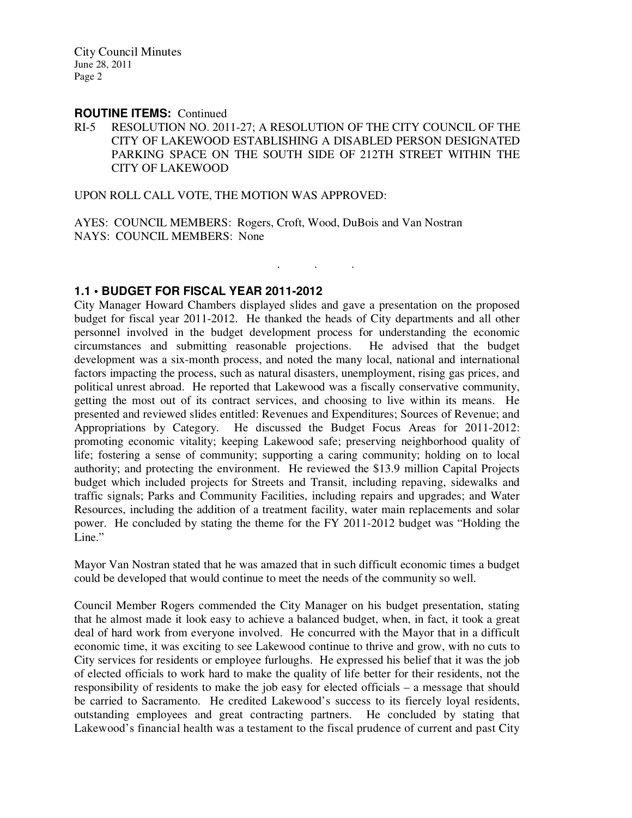#### **ROUTINE ITEMS:** Continued

RI-5 RESOLUTION NO. 2011-27; A RESOLUTION OF THE CITY COUNCIL OF THE CITY OF LAKEWOOD ESTABLISHING A DISABLED PERSON DESIGNATED PARKING SPACE ON THE SOUTH SIDE OF 212TH STREET WITHIN THE CITY OF LAKEWOOD

. . .

UPON ROLL CALL VOTE, THE MOTION WAS APPROVED:

AYES: COUNCIL MEMBERS: Rogers, Croft, Wood, DuBois and Van Nostran NAYS: COUNCIL MEMBERS: None

# **1.1 • BUDGET FOR FISCAL YEAR 2011-2012**

City Manager Howard Chambers displayed slides and gave a presentation on the proposed budget for fiscal year 2011-2012. He thanked the heads of City departments and all other personnel involved in the budget development process for understanding the economic circumstances and submitting reasonable projections. He advised that the budget development was a six-month process, and noted the many local, national and international factors impacting the process, such as natural disasters, unemployment, rising gas prices, and political unrest abroad. He reported that Lakewood was a fiscally conservative community, getting the most out of its contract services, and choosing to live within its means. He presented and reviewed slides entitled: Revenues and Expenditures; Sources of Revenue; and Appropriations by Category. He discussed the Budget Focus Areas for 2011-2012: promoting economic vitality; keeping Lakewood safe; preserving neighborhood quality of life; fostering a sense of community; supporting a caring community; holding on to local authority; and protecting the environment. He reviewed the \$13.9 million Capital Projects budget which included projects for Streets and Transit, including repaving, sidewalks and traffic signals; Parks and Community Facilities, including repairs and upgrades; and Water Resources, including the addition of a treatment facility, water main replacements and solar power. He concluded by stating the theme for the FY 2011-2012 budget was "Holding the Line."

Mayor Van Nostran stated that he was amazed that in such difficult economic times a budget could be developed that would continue to meet the needs of the community so well.

Council Member Rogers commended the City Manager on his budget presentation, stating that he almost made it look easy to achieve a balanced budget, when, in fact, it took a great deal of hard work from everyone involved. He concurred with the Mayor that in a difficult economic time, it was exciting to see Lakewood continue to thrive and grow, with no cuts to City services for residents or employee furloughs. He expressed his belief that it was the job of elected officials to work hard to make the quality of life better for their residents, not the responsibility of residents to make the job easy for elected officials – a message that should be carried to Sacramento. He credited Lakewood's success to its fiercely loyal residents, outstanding employees and great contracting partners. He concluded by stating that Lakewood's financial health was a testament to the fiscal prudence of current and past City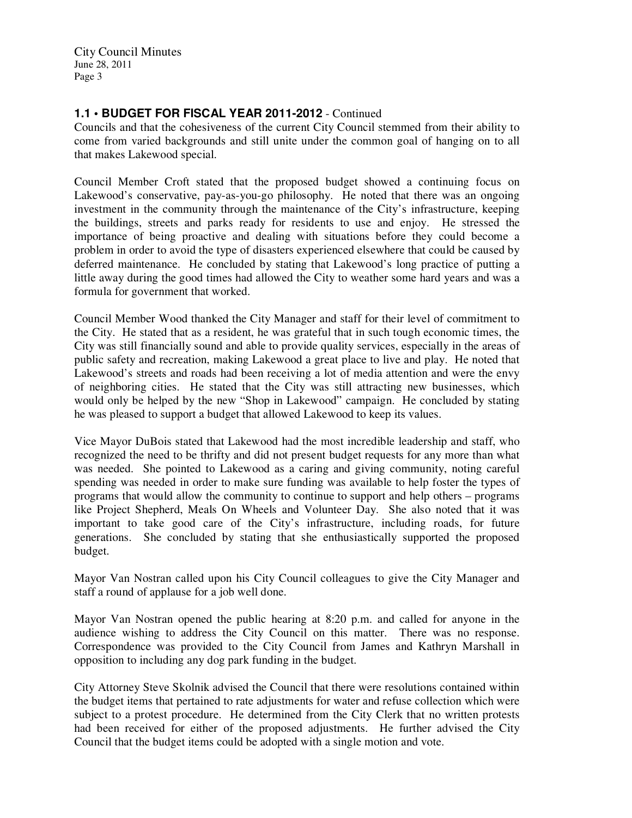# **1.1 • BUDGET FOR FISCAL YEAR 2011-2012** - Continued

Councils and that the cohesiveness of the current City Council stemmed from their ability to come from varied backgrounds and still unite under the common goal of hanging on to all that makes Lakewood special.

Council Member Croft stated that the proposed budget showed a continuing focus on Lakewood's conservative, pay-as-you-go philosophy. He noted that there was an ongoing investment in the community through the maintenance of the City's infrastructure, keeping the buildings, streets and parks ready for residents to use and enjoy. He stressed the importance of being proactive and dealing with situations before they could become a problem in order to avoid the type of disasters experienced elsewhere that could be caused by deferred maintenance. He concluded by stating that Lakewood's long practice of putting a little away during the good times had allowed the City to weather some hard years and was a formula for government that worked.

Council Member Wood thanked the City Manager and staff for their level of commitment to the City. He stated that as a resident, he was grateful that in such tough economic times, the City was still financially sound and able to provide quality services, especially in the areas of public safety and recreation, making Lakewood a great place to live and play. He noted that Lakewood's streets and roads had been receiving a lot of media attention and were the envy of neighboring cities. He stated that the City was still attracting new businesses, which would only be helped by the new "Shop in Lakewood" campaign. He concluded by stating he was pleased to support a budget that allowed Lakewood to keep its values.

Vice Mayor DuBois stated that Lakewood had the most incredible leadership and staff, who recognized the need to be thrifty and did not present budget requests for any more than what was needed. She pointed to Lakewood as a caring and giving community, noting careful spending was needed in order to make sure funding was available to help foster the types of programs that would allow the community to continue to support and help others – programs like Project Shepherd, Meals On Wheels and Volunteer Day. She also noted that it was important to take good care of the City's infrastructure, including roads, for future generations. She concluded by stating that she enthusiastically supported the proposed budget.

Mayor Van Nostran called upon his City Council colleagues to give the City Manager and staff a round of applause for a job well done.

Mayor Van Nostran opened the public hearing at 8:20 p.m. and called for anyone in the audience wishing to address the City Council on this matter. There was no response. Correspondence was provided to the City Council from James and Kathryn Marshall in opposition to including any dog park funding in the budget.

City Attorney Steve Skolnik advised the Council that there were resolutions contained within the budget items that pertained to rate adjustments for water and refuse collection which were subject to a protest procedure. He determined from the City Clerk that no written protests had been received for either of the proposed adjustments. He further advised the City Council that the budget items could be adopted with a single motion and vote.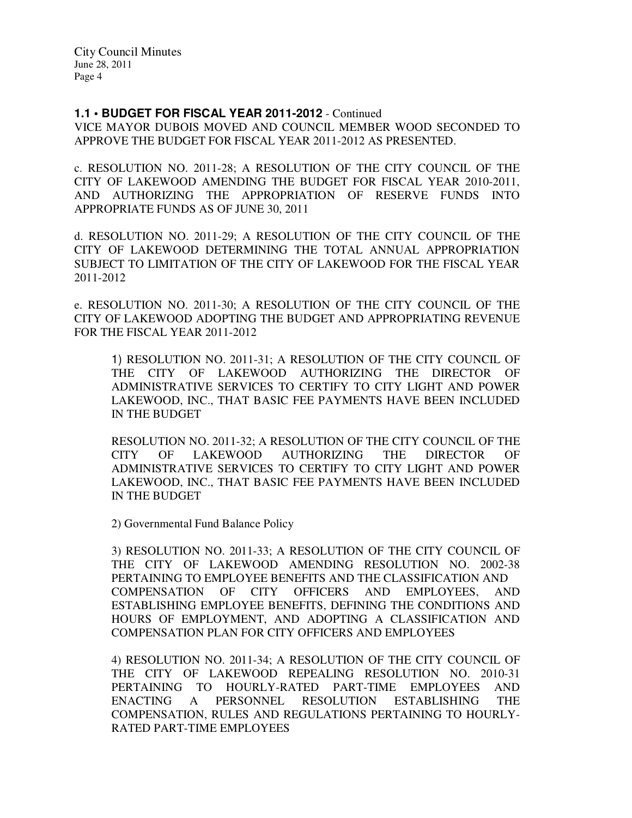#### **1.1 • BUDGET FOR FISCAL YEAR 2011-2012** - Continued

VICE MAYOR DUBOIS MOVED AND COUNCIL MEMBER WOOD SECONDED TO APPROVE THE BUDGET FOR FISCAL YEAR 2011-2012 AS PRESENTED.

c. RESOLUTION NO. 2011-28; A RESOLUTION OF THE CITY COUNCIL OF THE CITY OF LAKEWOOD AMENDING THE BUDGET FOR FISCAL YEAR 2010-2011, AND AUTHORIZING THE APPROPRIATION OF RESERVE FUNDS INTO APPROPRIATE FUNDS AS OF JUNE 30, 2011

d. RESOLUTION NO. 2011-29; A RESOLUTION OF THE CITY COUNCIL OF THE CITY OF LAKEWOOD DETERMINING THE TOTAL ANNUAL APPROPRIATION SUBJECT TO LIMITATION OF THE CITY OF LAKEWOOD FOR THE FISCAL YEAR 2011-2012

e. RESOLUTION NO. 2011-30; A RESOLUTION OF THE CITY COUNCIL OF THE CITY OF LAKEWOOD ADOPTING THE BUDGET AND APPROPRIATING REVENUE FOR THE FISCAL YEAR 2011-2012

1) RESOLUTION NO. 2011-31; A RESOLUTION OF THE CITY COUNCIL OF THE CITY OF LAKEWOOD AUTHORIZING THE DIRECTOR OF ADMINISTRATIVE SERVICES TO CERTIFY TO CITY LIGHT AND POWER LAKEWOOD, INC., THAT BASIC FEE PAYMENTS HAVE BEEN INCLUDED IN THE BUDGET

RESOLUTION NO. 2011-32; A RESOLUTION OF THE CITY COUNCIL OF THE CITY OF LAKEWOOD AUTHORIZING THE DIRECTOR OF ADMINISTRATIVE SERVICES TO CERTIFY TO CITY LIGHT AND POWER LAKEWOOD, INC., THAT BASIC FEE PAYMENTS HAVE BEEN INCLUDED IN THE BUDGET

2) Governmental Fund Balance Policy

3) RESOLUTION NO. 2011-33; A RESOLUTION OF THE CITY COUNCIL OF THE CITY OF LAKEWOOD AMENDING RESOLUTION NO. 2002-38 PERTAINING TO EMPLOYEE BENEFITS AND THE CLASSIFICATION AND COMPENSATION OF CITY OFFICERS AND EMPLOYEES, AND ESTABLISHING EMPLOYEE BENEFITS, DEFINING THE CONDITIONS AND HOURS OF EMPLOYMENT, AND ADOPTING A CLASSIFICATION AND COMPENSATION PLAN FOR CITY OFFICERS AND EMPLOYEES

4) RESOLUTION NO. 2011-34; A RESOLUTION OF THE CITY COUNCIL OF THE CITY OF LAKEWOOD REPEALING RESOLUTION NO. 2010-31 PERTAINING TO HOURLY-RATED PART-TIME EMPLOYEES AND ENACTING A PERSONNEL RESOLUTION ESTABLISHING THE COMPENSATION, RULES AND REGULATIONS PERTAINING TO HOURLY-RATED PART-TIME EMPLOYEES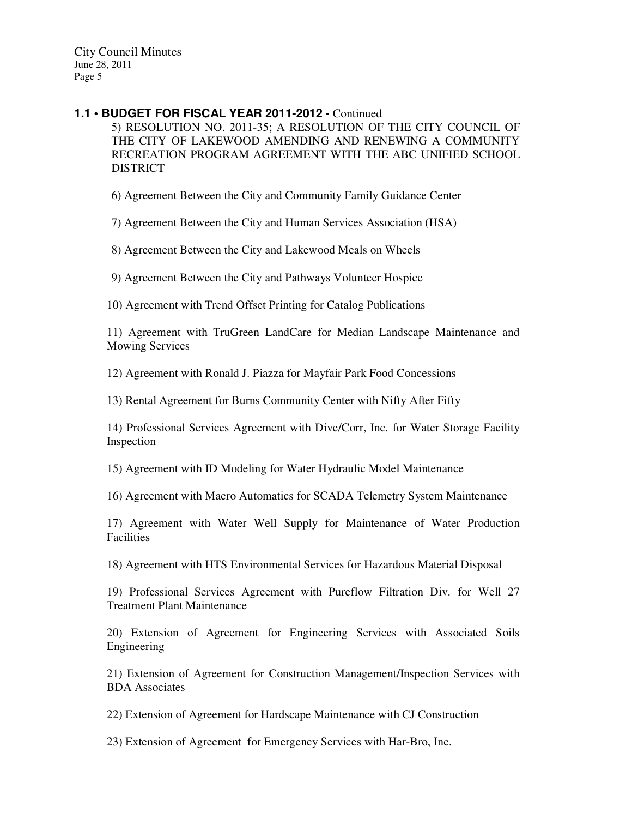#### **1.1 • BUDGET FOR FISCAL YEAR 2011-2012 -** Continued

5) RESOLUTION NO. 2011-35; A RESOLUTION OF THE CITY COUNCIL OF THE CITY OF LAKEWOOD AMENDING AND RENEWING A COMMUNITY RECREATION PROGRAM AGREEMENT WITH THE ABC UNIFIED SCHOOL **DISTRICT** 

6) Agreement Between the City and Community Family Guidance Center

7) Agreement Between the City and Human Services Association (HSA)

8) Agreement Between the City and Lakewood Meals on Wheels

9) Agreement Between the City and Pathways Volunteer Hospice

10) Agreement with Trend Offset Printing for Catalog Publications

11) Agreement with TruGreen LandCare for Median Landscape Maintenance and Mowing Services

12) Agreement with Ronald J. Piazza for Mayfair Park Food Concessions

13) Rental Agreement for Burns Community Center with Nifty After Fifty

14) Professional Services Agreement with Dive/Corr, Inc. for Water Storage Facility Inspection

15) Agreement with ID Modeling for Water Hydraulic Model Maintenance

16) Agreement with Macro Automatics for SCADA Telemetry System Maintenance

17) Agreement with Water Well Supply for Maintenance of Water Production Facilities

18) Agreement with HTS Environmental Services for Hazardous Material Disposal

19) Professional Services Agreement with Pureflow Filtration Div. for Well 27 Treatment Plant Maintenance

20) Extension of Agreement for Engineering Services with Associated Soils Engineering

21) Extension of Agreement for Construction Management/Inspection Services with BDA Associates

22) Extension of Agreement for Hardscape Maintenance with CJ Construction

23) Extension of Agreement for Emergency Services with Har-Bro, Inc.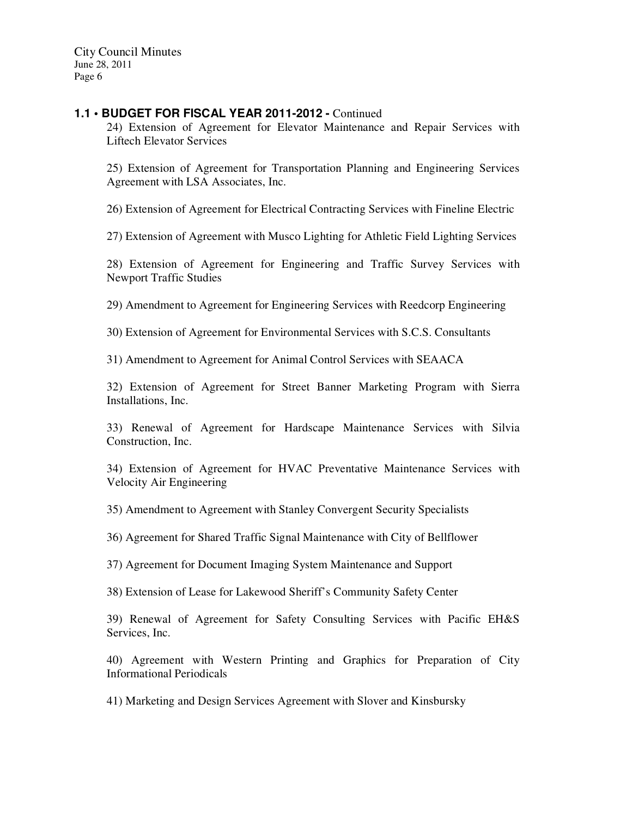### **1.1 • BUDGET FOR FISCAL YEAR 2011-2012 -** Continued

24) Extension of Agreement for Elevator Maintenance and Repair Services with Liftech Elevator Services

25) Extension of Agreement for Transportation Planning and Engineering Services Agreement with LSA Associates, Inc.

26) Extension of Agreement for Electrical Contracting Services with Fineline Electric

27) Extension of Agreement with Musco Lighting for Athletic Field Lighting Services

28) Extension of Agreement for Engineering and Traffic Survey Services with Newport Traffic Studies

29) Amendment to Agreement for Engineering Services with Reedcorp Engineering

30) Extension of Agreement for Environmental Services with S.C.S. Consultants

31) Amendment to Agreement for Animal Control Services with SEAACA

32) Extension of Agreement for Street Banner Marketing Program with Sierra Installations, Inc.

33) Renewal of Agreement for Hardscape Maintenance Services with Silvia Construction, Inc.

34) Extension of Agreement for HVAC Preventative Maintenance Services with Velocity Air Engineering

35) Amendment to Agreement with Stanley Convergent Security Specialists

36) Agreement for Shared Traffic Signal Maintenance with City of Bellflower

37) Agreement for Document Imaging System Maintenance and Support

38) Extension of Lease for Lakewood Sheriff's Community Safety Center

39) Renewal of Agreement for Safety Consulting Services with Pacific EH&S Services, Inc.

40) Agreement with Western Printing and Graphics for Preparation of City Informational Periodicals

41) Marketing and Design Services Agreement with Slover and Kinsbursky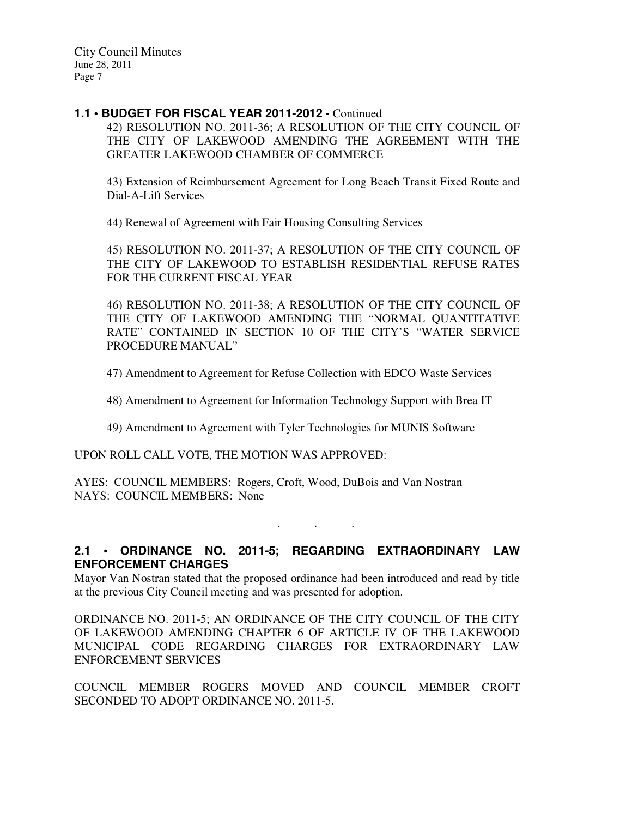#### **1.1 • BUDGET FOR FISCAL YEAR 2011-2012 -** Continued

42) RESOLUTION NO. 2011-36; A RESOLUTION OF THE CITY COUNCIL OF THE CITY OF LAKEWOOD AMENDING THE AGREEMENT WITH THE GREATER LAKEWOOD CHAMBER OF COMMERCE

43) Extension of Reimbursement Agreement for Long Beach Transit Fixed Route and Dial-A-Lift Services

44) Renewal of Agreement with Fair Housing Consulting Services

45) RESOLUTION NO. 2011-37; A RESOLUTION OF THE CITY COUNCIL OF THE CITY OF LAKEWOOD TO ESTABLISH RESIDENTIAL REFUSE RATES FOR THE CURRENT FISCAL YEAR

46) RESOLUTION NO. 2011-38; A RESOLUTION OF THE CITY COUNCIL OF THE CITY OF LAKEWOOD AMENDING THE "NORMAL QUANTITATIVE RATE" CONTAINED IN SECTION 10 OF THE CITY'S "WATER SERVICE PROCEDURE MANUAL"

47) Amendment to Agreement for Refuse Collection with EDCO Waste Services

48) Amendment to Agreement for Information Technology Support with Brea IT

49) Amendment to Agreement with Tyler Technologies for MUNIS Software

UPON ROLL CALL VOTE, THE MOTION WAS APPROVED:

AYES: COUNCIL MEMBERS: Rogers, Croft, Wood, DuBois and Van Nostran NAYS: COUNCIL MEMBERS: None

**2.1 • ORDINANCE NO. 2011-5; REGARDING EXTRAORDINARY LAW ENFORCEMENT CHARGES** 

. . .

Mayor Van Nostran stated that the proposed ordinance had been introduced and read by title at the previous City Council meeting and was presented for adoption.

ORDINANCE NO. 2011-5; AN ORDINANCE OF THE CITY COUNCIL OF THE CITY OF LAKEWOOD AMENDING CHAPTER 6 OF ARTICLE IV OF THE LAKEWOOD MUNICIPAL CODE REGARDING CHARGES FOR EXTRAORDINARY LAW ENFORCEMENT SERVICES

COUNCIL MEMBER ROGERS MOVED AND COUNCIL MEMBER CROFT SECONDED TO ADOPT ORDINANCE NO. 2011-5.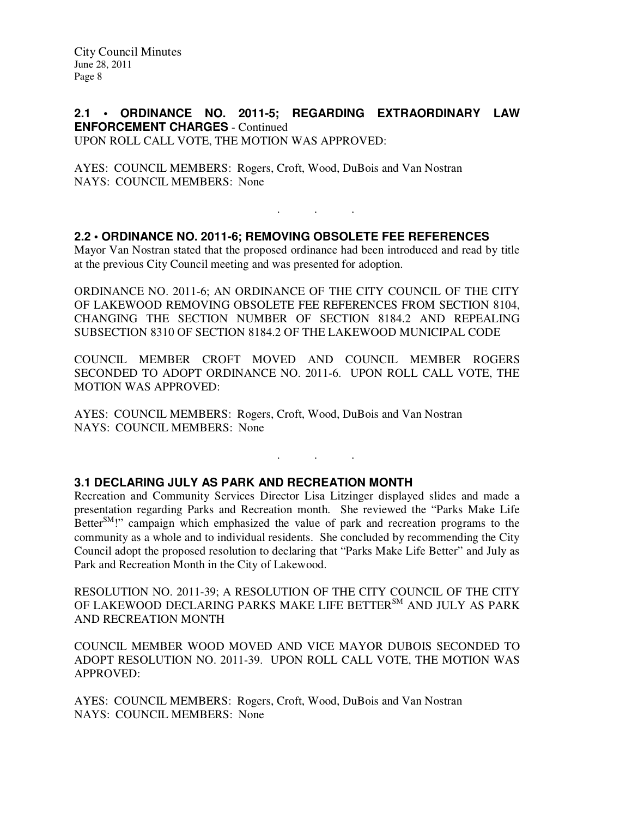### **2.1 • ORDINANCE NO. 2011-5; REGARDING EXTRAORDINARY LAW ENFORCEMENT CHARGES** - Continued UPON ROLL CALL VOTE, THE MOTION WAS APPROVED:

AYES: COUNCIL MEMBERS: Rogers, Croft, Wood, DuBois and Van Nostran NAYS: COUNCIL MEMBERS: None

### **2.2 • ORDINANCE NO. 2011-6; REMOVING OBSOLETE FEE REFERENCES**

Mayor Van Nostran stated that the proposed ordinance had been introduced and read by title at the previous City Council meeting and was presented for adoption.

. . .

ORDINANCE NO. 2011-6; AN ORDINANCE OF THE CITY COUNCIL OF THE CITY OF LAKEWOOD REMOVING OBSOLETE FEE REFERENCES FROM SECTION 8104, CHANGING THE SECTION NUMBER OF SECTION 8184.2 AND REPEALING SUBSECTION 8310 OF SECTION 8184.2 OF THE LAKEWOOD MUNICIPAL CODE

COUNCIL MEMBER CROFT MOVED AND COUNCIL MEMBER ROGERS SECONDED TO ADOPT ORDINANCE NO. 2011-6. UPON ROLL CALL VOTE, THE MOTION WAS APPROVED:

AYES: COUNCIL MEMBERS: Rogers, Croft, Wood, DuBois and Van Nostran NAYS: COUNCIL MEMBERS: None

# **3.1 DECLARING JULY AS PARK AND RECREATION MONTH**

Recreation and Community Services Director Lisa Litzinger displayed slides and made a presentation regarding Parks and Recreation month. She reviewed the "Parks Make Life Better<sup>SM</sup>!" campaign which emphasized the value of park and recreation programs to the community as a whole and to individual residents. She concluded by recommending the City Council adopt the proposed resolution to declaring that "Parks Make Life Better" and July as Park and Recreation Month in the City of Lakewood.

. . .

RESOLUTION NO. 2011-39; A RESOLUTION OF THE CITY COUNCIL OF THE CITY OF LAKEWOOD DECLARING PARKS MAKE LIFE BETTER<sup>SM</sup> AND JULY AS PARK AND RECREATION MONTH

COUNCIL MEMBER WOOD MOVED AND VICE MAYOR DUBOIS SECONDED TO ADOPT RESOLUTION NO. 2011-39. UPON ROLL CALL VOTE, THE MOTION WAS APPROVED:

AYES: COUNCIL MEMBERS: Rogers, Croft, Wood, DuBois and Van Nostran NAYS: COUNCIL MEMBERS: None